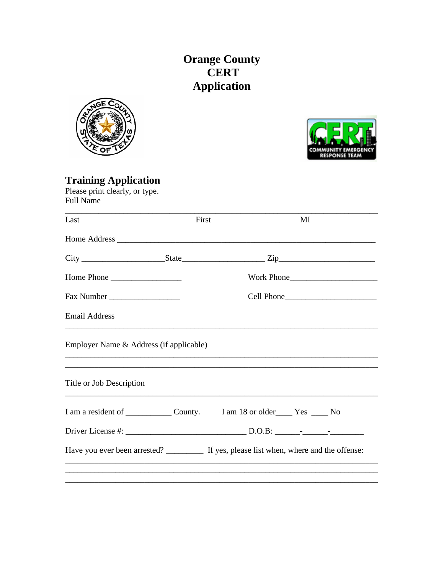## **Orange County<br>CERT** Application





**Training Application**<br>Please print clearly, or type.<br>Full Name

| Last                                    | First | MI                                                                                        |
|-----------------------------------------|-------|-------------------------------------------------------------------------------------------|
|                                         |       |                                                                                           |
|                                         |       |                                                                                           |
| Home Phone                              |       | Work Phone                                                                                |
|                                         |       |                                                                                           |
| <b>Email Address</b>                    |       |                                                                                           |
| Employer Name & Address (if applicable) |       |                                                                                           |
| Title or Job Description                |       |                                                                                           |
|                                         |       |                                                                                           |
|                                         |       |                                                                                           |
|                                         |       | Have you ever been arrested? ___________ If yes, please list when, where and the offense: |
|                                         |       |                                                                                           |
|                                         |       |                                                                                           |